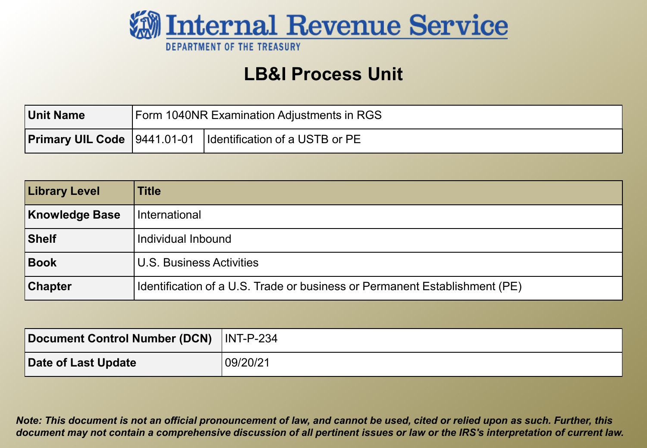

### **LB&I Process Unit**

| <b>Unit Name</b> | <b>Form 1040NR Examination Adjustments in RGS</b> |                                                                       |  |
|------------------|---------------------------------------------------|-----------------------------------------------------------------------|--|
|                  |                                                   | <b>Primary UIL Code</b>   9441.01-01   Identification of a USTB or PE |  |

| <b>Library Level</b> | <b>Title</b>                                                               |
|----------------------|----------------------------------------------------------------------------|
| Knowledge Base       | International                                                              |
| Shelf                | Individual Inbound                                                         |
| Book                 | U.S. Business Activities                                                   |
| <b>Chapter</b>       | Identification of a U.S. Trade or business or Permanent Establishment (PE) |

| Document Control Number (DCN)   INT-P-234 |           |
|-------------------------------------------|-----------|
| Date of Last Update                       | '09/20/21 |

 *Note: This document is not an official pronouncement of law, and cannot be used, cited or relied upon as such. Further, this document may not contain a comprehensive discussion of all pertinent issues or law or the IRS's interpretation of current law.*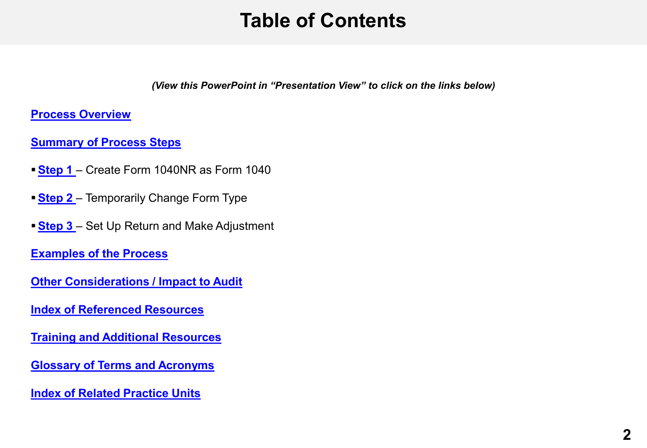# **Table of Contents**

*(View this PowerPoint in "Presentation View" to click on the links below)* 

#### <span id="page-1-0"></span>**Process Overview**

**[Summary of Process Steps](#page-3-0)** 

- **[Step 1](#page-4-0)**  Create Form 1040NR as Form 1040
- **Step 2** Temporarily Change Form Type
- **[Step 3](#page-9-0)**  Set Up Return and Make Adjustment

 **[Examples of the Process](#page-20-0)** 

- **[Other Considerations / Impact to Audit](#page-21-0)**
- **[Index of Referenced Resources](#page-22-0)**
- **[Training and Additional Resources](#page-23-0)**
- **[Glossary of Terms and Acronyms](#page-24-0)**
- **[Index of Related Practice Units](#page-26-0)**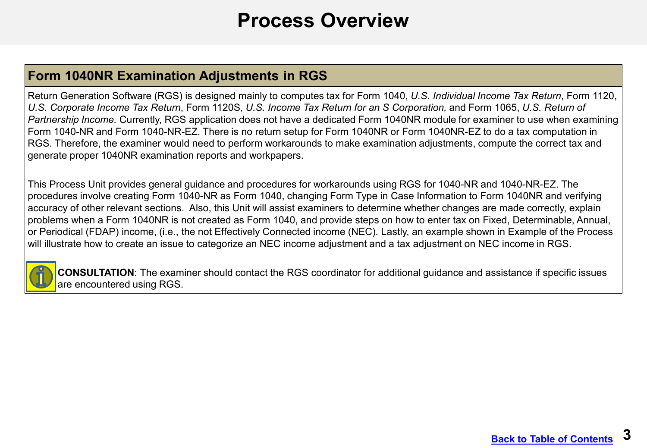### **Process Overview**

#### <span id="page-2-0"></span>**Form 1040NR Examination Adjustments in RGS**

Return Generation Software (RGS) is designed mainly to computes tax for Form 1040, *U.S. Individual Income Tax Return*, Form 1120, *U.S. Corporate Income Tax Return*, Form 1120S, *U.S. Income Tax Return for an S Corporation,* and Form 1065, *U.S. Return of Partnership Income.* Currently, RGS application does not have a dedicated Form 1040NR module for examiner to use when examining Form 1040-NR and Form 1040-NR-EZ. There is no return setup for Form 1040NR or Form 1040NR-EZ to do a tax computation in RGS. Therefore, the examiner would need to perform workarounds to make examination adjustments, compute the correct tax and generate proper 1040NR examination reports and workpapers.

 This Process Unit provides general guidance and procedures for workarounds using RGS for 1040-NR and 1040-NR-EZ. The procedures involve creating Form 1040-NR as Form 1040, changing Form Type in Case Information to Form 1040NR and verifying accuracy of other relevant sections. Also, this Unit will assist examiners to determine whether changes are made correctly, explain problems when a Form 1040NR is not created as Form 1040, and provide steps on how to enter tax on Fixed, Determinable, Annual, or Periodical (FDAP) income, (i.e., the not Effectively Connected income (NEC). Lastly, an example shown in Example of the Process will illustrate how to create an issue to categorize an NEC income adjustment and a tax adjustment on NEC income in RGS.



 **CONSULTATION**: The examiner should contact the RGS coordinator for additional guidance and assistance if specific issues are encountered using RGS.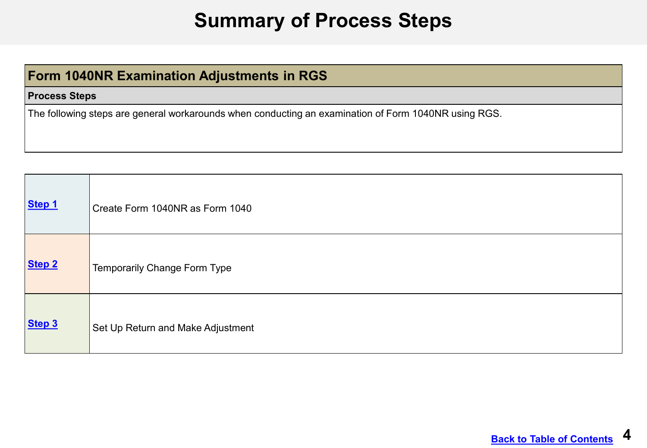### **Summary of Process Steps**

#### <span id="page-3-0"></span>**Form 1040NR Examination Adjustments in RGS**

#### **Process Steps**

The following steps are general workarounds when conducting an examination of Form 1040NR using RGS.

| Step 1 | Create Form 1040NR as Form 1040   |
|--------|-----------------------------------|
| Step 2 | Temporarily Change Form Type      |
| Step 3 | Set Up Return and Make Adjustment |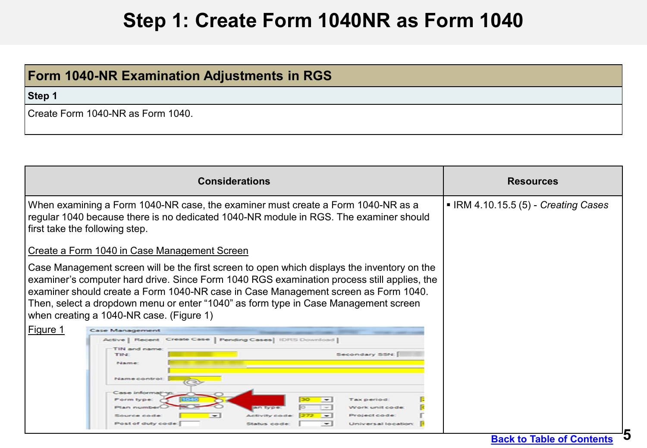### **Step 1: Create Form 1040NR as Form 1040**

### <span id="page-4-0"></span>**Form 1040-NR Examination Adjustments in RGS**

**Step 1** 

Create Form 1040-NR as Form 1040.

| <b>Considerations</b>                                                                                                                                                                                                                                                                                                                                                                                              | <b>Resources</b>                                  |
|--------------------------------------------------------------------------------------------------------------------------------------------------------------------------------------------------------------------------------------------------------------------------------------------------------------------------------------------------------------------------------------------------------------------|---------------------------------------------------|
| When examining a Form 1040-NR case, the examiner must create a Form 1040-NR as a<br>regular 1040 because there is no dedicated 1040-NR module in RGS. The examiner should<br>first take the following step.                                                                                                                                                                                                        | $\blacksquare$ IRM 4.10.15.5 (5) - Creating Cases |
| Create a Form 1040 in Case Management Screen                                                                                                                                                                                                                                                                                                                                                                       |                                                   |
| Case Management screen will be the first screen to open which displays the inventory on the<br>examiner's computer hard drive. Since Form 1040 RGS examination process still applies, the<br>examiner should create a Form 1040-NR case in Case Management screen as Form 1040.<br>Then, select a dropdown menu or enter "1040" as form type in Case Management screen<br>when creating a 1040-NR case. (Figure 1) |                                                   |
| Figure 1<br><b>Case Management</b>                                                                                                                                                                                                                                                                                                                                                                                 |                                                   |
| Active   Recent Create Case   Pending Cases   IDRS Download<br>TIN and name<br>Tir-2<br>Secondary SSN:<br>Name<br>Name control:<br>Tax period<br>unit code<br>Project code:<br>Source code                                                                                                                                                                                                                         |                                                   |
| Post of duty code:<br>$\overline{\phantom{0}}$<br>Status cod<br><b>Jniversal location</b>                                                                                                                                                                                                                                                                                                                          |                                                   |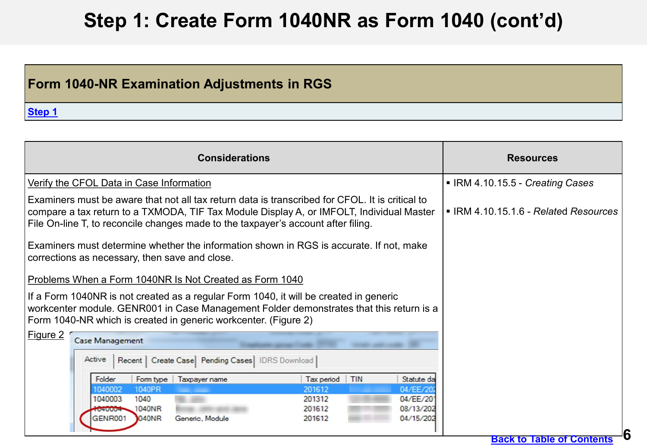# **Step 1: Create Form 1040NR as Form 1040 (cont'd)**

### **Form 1040-NR Examination Adjustments in RGS**

| <b>Considerations</b>                                                                                                                                                                                                                                                            | <b>Resources</b>                      |
|----------------------------------------------------------------------------------------------------------------------------------------------------------------------------------------------------------------------------------------------------------------------------------|---------------------------------------|
| Verify the CFOL Data in Case Information                                                                                                                                                                                                                                         | • IRM 4.10.15.5 - Creating Cases      |
| Examiners must be aware that not all tax return data is transcribed for CFOL. It is critical to<br>compare a tax return to a TXMODA, TIF Tax Module Display A, or IMFOLT, Individual Master<br>File On-line T, to reconcile changes made to the taxpayer's account after filing. | • IRM 4.10.15.1.6 - Related Resources |
| Examiners must determine whether the information shown in RGS is accurate. If not, make<br>corrections as necessary, then save and close.                                                                                                                                        |                                       |
| Problems When a Form 1040NR Is Not Created as Form 1040                                                                                                                                                                                                                          |                                       |
| If a Form 1040NR is not created as a regular Form 1040, it will be created in generic<br>workcenter module. GENR001 in Case Management Folder demonstrates that this return is a<br>Form 1040-NR which is created in generic workcenter. (Figure 2)                              |                                       |
| <u>Figure 2</u><br><b>Case Management</b>                                                                                                                                                                                                                                        |                                       |
| Active<br>Recent   Create Case   Pending Cases   IDRS Download                                                                                                                                                                                                                   |                                       |
| Folder<br><b>TIN</b><br>Statute da<br>Form type<br>Taxpayer name<br>Tax period                                                                                                                                                                                                   |                                       |
| 1040PR<br>201612<br>04/EE/20<br>1040002                                                                                                                                                                                                                                          |                                       |
| 04/EE/201<br>1040003<br>1040<br>201312<br>1040NR<br>08/13/202<br>201612<br><b>AUSTRALIA</b>                                                                                                                                                                                      |                                       |
| Generic, Module<br><b>GENR001</b><br><b>1040NR</b><br>04/15/202<br>201612                                                                                                                                                                                                        |                                       |
|                                                                                                                                                                                                                                                                                  | <b>Dook to Toble of Cont.</b>         |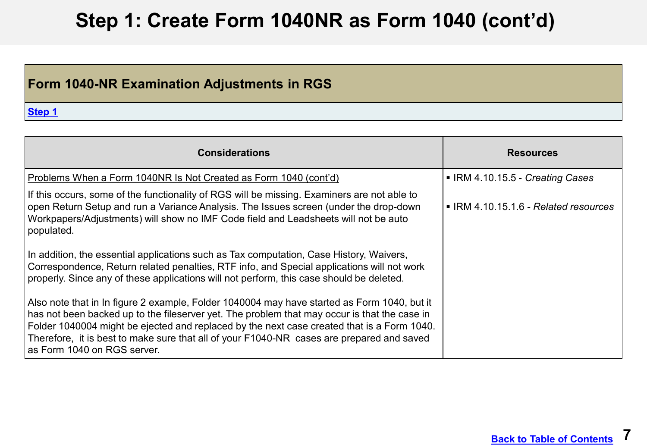# **Step 1: Create Form 1040NR as Form 1040 (cont'd) 2**

### **Form 1040-NR Examination Adjustments in RGS**

| <b>Considerations</b>                                                                                                                                                                                                                                                                                                                                                                                                 | <b>Resources</b>                      |
|-----------------------------------------------------------------------------------------------------------------------------------------------------------------------------------------------------------------------------------------------------------------------------------------------------------------------------------------------------------------------------------------------------------------------|---------------------------------------|
| Problems When a Form 1040NR Is Not Created as Form 1040 (cont'd)                                                                                                                                                                                                                                                                                                                                                      | • IRM 4.10.15.5 - Creating Cases      |
| If this occurs, some of the functionality of RGS will be missing. Examiners are not able to<br>open Return Setup and run a Variance Analysis. The Issues screen (under the drop-down<br>Workpapers/Adjustments) will show no IMF Code field and Leadsheets will not be auto<br>populated.                                                                                                                             | • IRM 4.10.15.1.6 - Related resources |
| In addition, the essential applications such as Tax computation, Case History, Waivers,<br>Correspondence, Return related penalties, RTF info, and Special applications will not work<br>properly. Since any of these applications will not perform, this case should be deleted.                                                                                                                                     |                                       |
| Also note that in In figure 2 example, Folder 1040004 may have started as Form 1040, but it<br>has not been backed up to the fileserver yet. The problem that may occur is that the case in<br>Folder 1040004 might be ejected and replaced by the next case created that is a Form 1040.<br>Therefore, it is best to make sure that all of your F1040-NR cases are prepared and saved<br>as Form 1040 on RGS server. |                                       |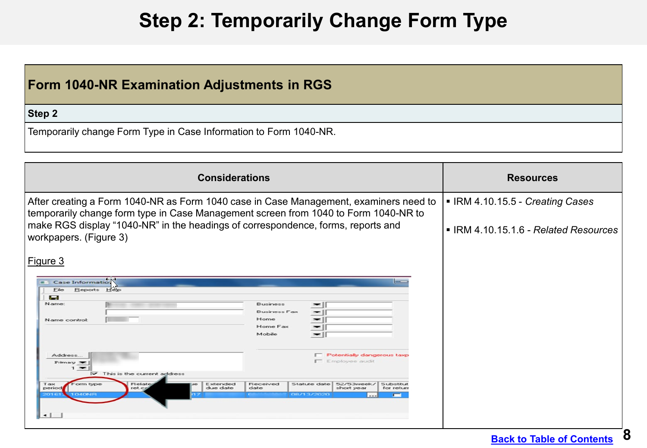# **Step 2: Temporarily Change Form Type**

#### <span id="page-7-0"></span>**Form 1040-NR Examination Adjustments in RGS**

#### **Step 2**

Temporarily change Form Type in Case Information to Form 1040-NR.

| <b>Considerations</b>                                                                                                                                                        |                                                                                              |                                                    | <b>Resources</b>                      |
|------------------------------------------------------------------------------------------------------------------------------------------------------------------------------|----------------------------------------------------------------------------------------------|----------------------------------------------------|---------------------------------------|
| After creating a Form 1040-NR as Form 1040 case in Case Management, examiners need to<br>temporarily change form type in Case Management screen from 1040 to Form 1040-NR to | • IRM 4.10.15.5 - Creating Cases                                                             |                                                    |                                       |
| make RGS display "1040-NR" in the headings of correspondence, forms, reports and<br>workpapers. (Figure 3)                                                                   |                                                                                              |                                                    | • IRM 4.10.15.1.6 - Related Resources |
| Figure 3                                                                                                                                                                     |                                                                                              |                                                    |                                       |
| Case Informatio<br>Heb<br>Reports<br>File<br><b>College</b>                                                                                                                  |                                                                                              |                                                    |                                       |
| Name:<br>Name control:                                                                                                                                                       | Business<br>$\overline{\phantom{a}}$<br><b>Business Fax</b><br>−∣<br>Home<br>- 1<br>Home Fax |                                                    |                                       |
|                                                                                                                                                                              | - 1<br>Mobile<br>$= 1$                                                                       |                                                    |                                       |
| Address<br>Primary -<br>$\overline{1}$<br>$\triangleright$ This is the current address                                                                                       |                                                                                              | Potentially dangerous taxp<br>Employee audit       |                                       |
| Relate<br>Form type<br>Extended<br>T-ax<br>due date<br>period<br>ret.c.<br><b>DADNE</b>                                                                                      | Statute date<br>Received<br>date<br>08/13/2020                                               | 52/53week/<br>Substitut<br>short year<br>for retun |                                       |
|                                                                                                                                                                              |                                                                                              |                                                    |                                       |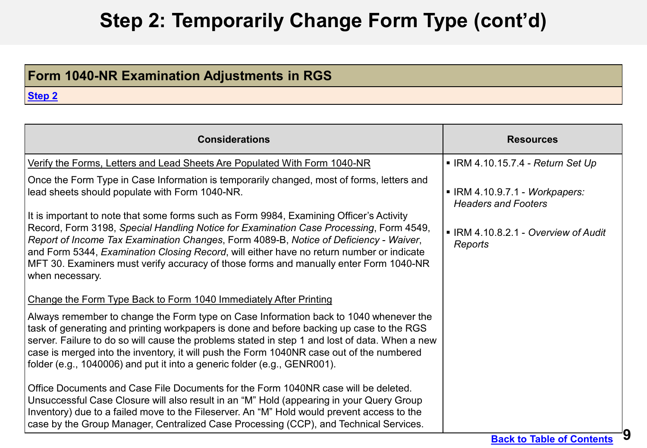# **Step 2: Temporarily Change Form Type (cont'd)**

### **Form 1040-NR Examination Adjustments in RGS**

| <b>Considerations</b>                                                                                                                                                                                                                                                                                                                                                                                                                                                              | <b>Resources</b>                                             |
|------------------------------------------------------------------------------------------------------------------------------------------------------------------------------------------------------------------------------------------------------------------------------------------------------------------------------------------------------------------------------------------------------------------------------------------------------------------------------------|--------------------------------------------------------------|
| Verify the Forms, Letters and Lead Sheets Are Populated With Form 1040-NR                                                                                                                                                                                                                                                                                                                                                                                                          | ■ IRM 4.10.15.7.4 - Return Set Up                            |
| Once the Form Type in Case Information is temporarily changed, most of forms, letters and<br>lead sheets should populate with Form 1040-NR.                                                                                                                                                                                                                                                                                                                                        | • IRM 4.10.9.7.1 - Workpapers:<br><b>Headers and Footers</b> |
| It is important to note that some forms such as Form 9984, Examining Officer's Activity<br>Record, Form 3198, Special Handling Notice for Examination Case Processing, Form 4549,<br>Report of Income Tax Examination Changes, Form 4089-B, Notice of Deficiency - Waiver,<br>and Form 5344, Examination Closing Record, will either have no return number or indicate<br>MFT 30. Examiners must verify accuracy of those forms and manually enter Form 1040-NR<br>when necessary. | • IRM 4.10.8.2.1 - Overview of Audit<br>Reports              |
| Change the Form Type Back to Form 1040 Immediately After Printing                                                                                                                                                                                                                                                                                                                                                                                                                  |                                                              |
| Always remember to change the Form type on Case Information back to 1040 whenever the<br>task of generating and printing workpapers is done and before backing up case to the RGS<br>server. Failure to do so will cause the problems stated in step 1 and lost of data. When a new<br>case is merged into the inventory, it will push the Form 1040NR case out of the numbered<br>folder (e.g., 1040006) and put it into a generic folder (e.g., GENR001).                        |                                                              |
| Office Documents and Case File Documents for the Form 1040NR case will be deleted.<br>Unsuccessful Case Closure will also result in an "M" Hold (appearing in your Query Group<br>Inventory) due to a failed move to the Fileserver. An "M" Hold would prevent access to the<br>case by the Group Manager, Centralized Case Processing (CCP), and Technical Services.                                                                                                              |                                                              |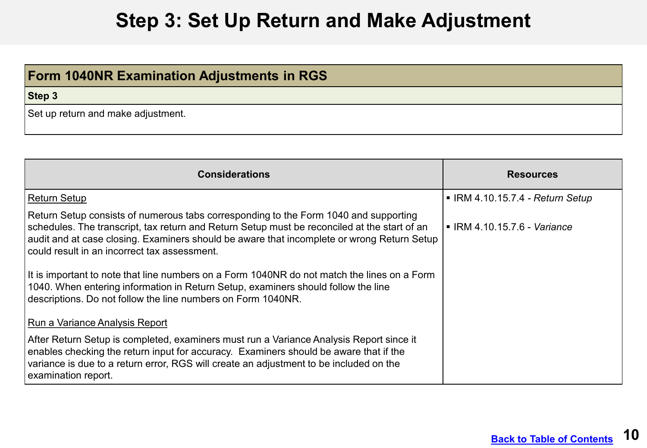### <span id="page-9-0"></span>**Form 1040NR Examination Adjustments in RGS**

**Step 3** 

Set up return and make adjustment.

| <b>Considerations</b>                                                                                                                                                                                                                                                                                                                                                                                                                                                                                                                                                                  | <b>Resources</b>                 |
|----------------------------------------------------------------------------------------------------------------------------------------------------------------------------------------------------------------------------------------------------------------------------------------------------------------------------------------------------------------------------------------------------------------------------------------------------------------------------------------------------------------------------------------------------------------------------------------|----------------------------------|
| Return Setup                                                                                                                                                                                                                                                                                                                                                                                                                                                                                                                                                                           | ■ IRM 4.10.15.7.4 - Return Setup |
| Return Setup consists of numerous tabs corresponding to the Form 1040 and supporting<br>schedules. The transcript, tax return and Return Setup must be reconciled at the start of an<br>audit and at case closing. Examiners should be aware that incomplete or wrong Return Setup<br>could result in an incorrect tax assessment.<br>It is important to note that line numbers on a Form 1040NR do not match the lines on a Form<br>1040. When entering information in Return Setup, examiners should follow the line<br>descriptions. Do not follow the line numbers on Form 1040NR. | • IRM 4.10.15.7.6 - Variance     |
| Run a Variance Analysis Report<br>After Return Setup is completed, examiners must run a Variance Analysis Report since it<br>enables checking the return input for accuracy. Examiners should be aware that if the<br>variance is due to a return error, RGS will create an adjustment to be included on the<br>examination report.                                                                                                                                                                                                                                                    |                                  |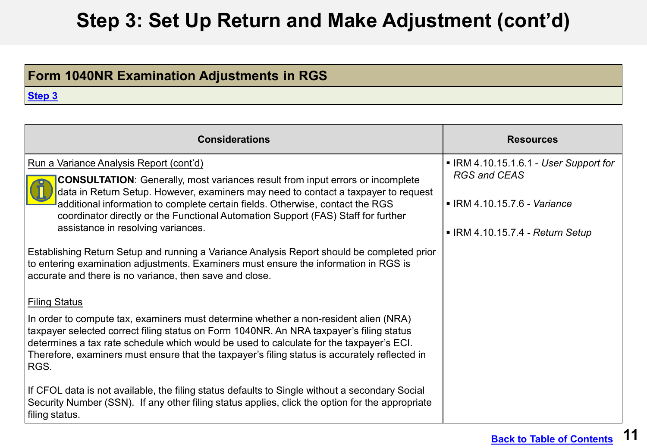### **Form 1040NR Examination Adjustments in RGS**

| <b>Considerations</b>                                                                                                                                                                                                                                                                                                                                                               | <b>Resources</b>                       |
|-------------------------------------------------------------------------------------------------------------------------------------------------------------------------------------------------------------------------------------------------------------------------------------------------------------------------------------------------------------------------------------|----------------------------------------|
| Run a Variance Analysis Report (cont'd)                                                                                                                                                                                                                                                                                                                                             | • IRM 4.10.15.1.6.1 - User Support for |
| <b>CONSULTATION:</b> Generally, most variances result from input errors or incomplete                                                                                                                                                                                                                                                                                               | <b>RGS and CEAS</b>                    |
| data in Return Setup. However, examiners may need to contact a taxpayer to request<br>additional information to complete certain fields. Otherwise, contact the RGS<br>coordinator directly or the Functional Automation Support (FAS) Staff for further                                                                                                                            | ■ IRM 4.10.15.7.6 - Variance           |
| assistance in resolving variances.                                                                                                                                                                                                                                                                                                                                                  | ■ IRM 4.10.15.7.4 - Return Setup       |
| Establishing Return Setup and running a Variance Analysis Report should be completed prior<br>to entering examination adjustments. Examiners must ensure the information in RGS is<br>accurate and there is no variance, then save and close.                                                                                                                                       |                                        |
| <b>Filing Status</b>                                                                                                                                                                                                                                                                                                                                                                |                                        |
| In order to compute tax, examiners must determine whether a non-resident alien (NRA)<br>taxpayer selected correct filing status on Form 1040NR. An NRA taxpayer's filing status<br>determines a tax rate schedule which would be used to calculate for the taxpayer's ECI.<br>Therefore, examiners must ensure that the taxpayer's filing status is accurately reflected in<br>RGS. |                                        |
| If CFOL data is not available, the filing status defaults to Single without a secondary Social<br>Security Number (SSN). If any other filing status applies, click the option for the appropriate<br>filing status.                                                                                                                                                                 |                                        |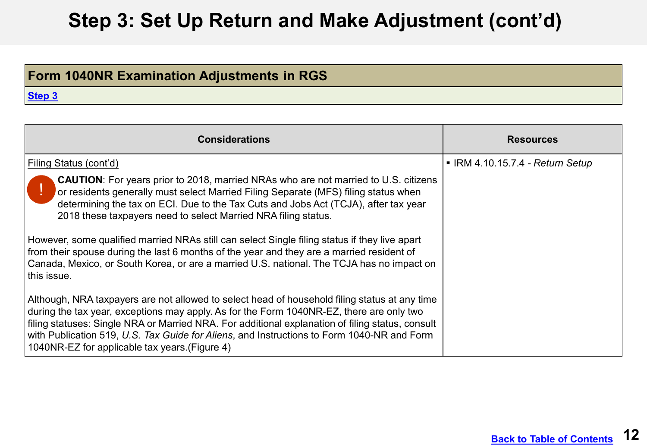### **Form 1040NR Examination Adjustments in RGS**

| <b>Considerations</b>                                                                                                                                                                                                                                                                                                                                                                                                                         | <b>Resources</b>                 |
|-----------------------------------------------------------------------------------------------------------------------------------------------------------------------------------------------------------------------------------------------------------------------------------------------------------------------------------------------------------------------------------------------------------------------------------------------|----------------------------------|
| Filing Status (cont'd)                                                                                                                                                                                                                                                                                                                                                                                                                        | ■ IRM 4.10.15.7.4 - Return Setup |
| <b>CAUTION:</b> For years prior to 2018, married NRAs who are not married to U.S. citizens<br>or residents generally must select Married Filing Separate (MFS) filing status when<br>determining the tax on ECI. Due to the Tax Cuts and Jobs Act (TCJA), after tax year<br>2018 these taxpayers need to select Married NRA filing status.                                                                                                    |                                  |
| However, some qualified married NRAs still can select Single filing status if they live apart<br>from their spouse during the last 6 months of the year and they are a married resident of<br>Canada, Mexico, or South Korea, or are a married U.S. national. The TCJA has no impact on<br>this issue.                                                                                                                                        |                                  |
| Although, NRA taxpayers are not allowed to select head of household filing status at any time<br>during the tax year, exceptions may apply. As for the Form 1040NR-EZ, there are only two<br>filing statuses: Single NRA or Married NRA. For additional explanation of filing status, consult<br>with Publication 519, U.S. Tax Guide for Aliens, and Instructions to Form 1040-NR and Form<br>1040NR-EZ for applicable tax years. (Figure 4) |                                  |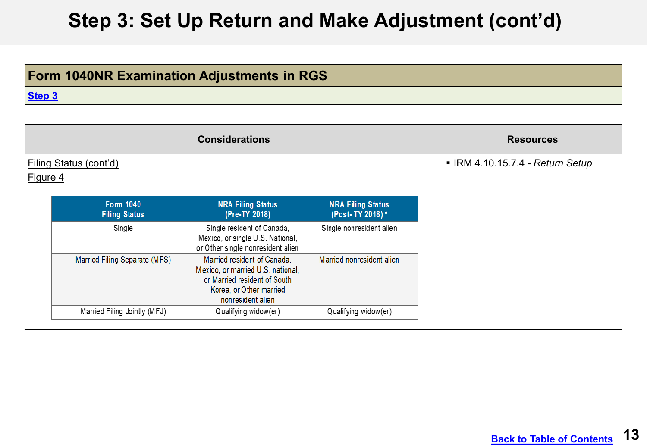### **Form 1040NR Examination Adjustments in RGS**

|                                          | <b>Considerations</b>                                                                                                                            |                                             | <b>Resources</b>                 |
|------------------------------------------|--------------------------------------------------------------------------------------------------------------------------------------------------|---------------------------------------------|----------------------------------|
| Filing Status (cont'd)<br>Figure 4       |                                                                                                                                                  |                                             | ■ IRM 4.10.15.7.4 - Return Setup |
| <b>Form 1040</b><br><b>Filing Status</b> | <b>NRA Filing Status</b><br>(Pre-TY 2018)                                                                                                        | <b>NRA Filing Status</b><br>(Post-TY 2018)* |                                  |
| Single                                   | Single resident of Canada,<br>Mexico, or single U.S. National,<br>or Other single nonresident alien                                              | Single nonresident alien                    |                                  |
| Married Filing Separate (MFS)            | Married resident of Canada,<br>Mexico, or married U.S. national,<br>or Married resident of South<br>Korea, or Other married<br>nonresident alien | Married nonresident alien                   |                                  |
| Married Filing Jointly (MFJ)             | Qualifying widow(er)                                                                                                                             | Qualifying widow(er)                        |                                  |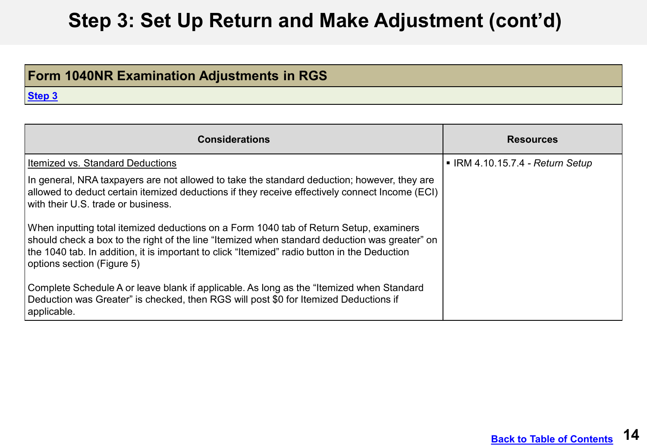### **Form 1040NR Examination Adjustments in RGS**

| <b>Considerations</b>                                                                                                                                                                                                                                                                                                 | <b>Resources</b>                        |
|-----------------------------------------------------------------------------------------------------------------------------------------------------------------------------------------------------------------------------------------------------------------------------------------------------------------------|-----------------------------------------|
| <b>Itemized vs. Standard Deductions</b>                                                                                                                                                                                                                                                                               | <b>EXAMULE 10.15.7.4 - Return Setup</b> |
| In general, NRA taxpayers are not allowed to take the standard deduction; however, they are<br>allowed to deduct certain itemized deductions if they receive effectively connect Income (ECI)<br>with their U.S. trade or business.                                                                                   |                                         |
| When inputting total itemized deductions on a Form 1040 tab of Return Setup, examiners<br>should check a box to the right of the line "Itemized when standard deduction was greater" on<br>the 1040 tab. In addition, it is important to click "Itemized" radio button in the Deduction<br>options section (Figure 5) |                                         |
| Complete Schedule A or leave blank if applicable. As long as the "Itemized when Standard<br>Deduction was Greater" is checked, then RGS will post \$0 for Itemized Deductions if<br>applicable.                                                                                                                       |                                         |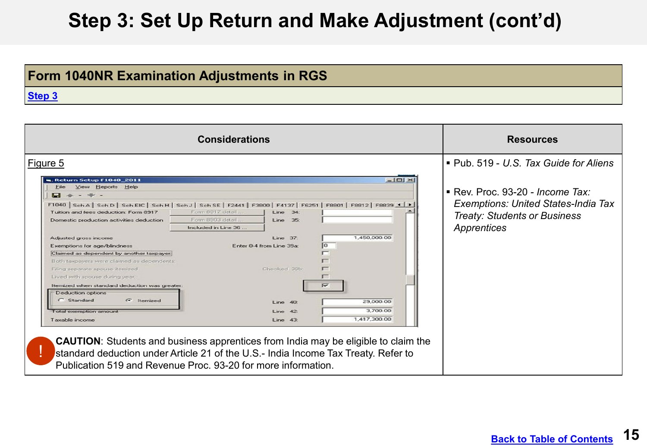### **Form 1040NR Examination Adjustments in RGS**

|                                                                                                                                                                                                                                                                                                                                                                                                                                                                                                                                                                                                                                                                      | <b>Considerations</b>                                                                                                                                                                                                                                                        |                                                                  | <b>Resources</b>                                                                                                                                                             |
|----------------------------------------------------------------------------------------------------------------------------------------------------------------------------------------------------------------------------------------------------------------------------------------------------------------------------------------------------------------------------------------------------------------------------------------------------------------------------------------------------------------------------------------------------------------------------------------------------------------------------------------------------------------------|------------------------------------------------------------------------------------------------------------------------------------------------------------------------------------------------------------------------------------------------------------------------------|------------------------------------------------------------------|------------------------------------------------------------------------------------------------------------------------------------------------------------------------------|
| Figure 5<br>Return Setup F1040_2011<br>View Reports Help<br>File<br>F1040   Sch A   Sch D   Sch EIC   Sch H   Sch J   Sch SE   F2441   F3800   F4137   F6251   F8801   F8812   F8839 1   F<br>Tuition and fees deduction: Form 8917<br>Domestic production activities deduction<br>Adjusted gross income<br>Exemptions for age/blindness<br>Claimed as dependent by another taxpayer.<br>Both taxpayers were claimed as dependents:<br>Filing separate spouse itemized<br>Lived with spouse during year,<br>Itemized when standard deduction was greater:<br><b>Deduction options</b><br>C Standard<br><b>E</b> Itemized<br>Total exemption amount<br>Taxable income | Form 8917 detail<br>Line 34:<br>Form 8903 detail<br>$Line$ 35:<br>Included in Line 36<br>Line 37:<br>Enter 0-4 from Line 39a:<br>Checked 39b<br>Line 40:<br>Line 42<br>Line 43<br><b>CAUTION</b> : Students and business apprentices from India may be eligible to claim the | $ \Box$<br>1,450,000.00<br>29,000.00<br>3,700.00<br>1,417,300.00 | • Pub. 519 - U.S. Tax Guide for Aliens<br>Rev. Proc. 93-20 - Income Tax:<br><b>Exemptions: United States-India Tax</b><br><b>Treaty: Students or Business</b><br>Apprentices |
|                                                                                                                                                                                                                                                                                                                                                                                                                                                                                                                                                                                                                                                                      | standard deduction under Article 21 of the U.S.- India Income Tax Treaty. Refer to<br>Publication 519 and Revenue Proc. 93-20 for more information.                                                                                                                          |                                                                  |                                                                                                                                                                              |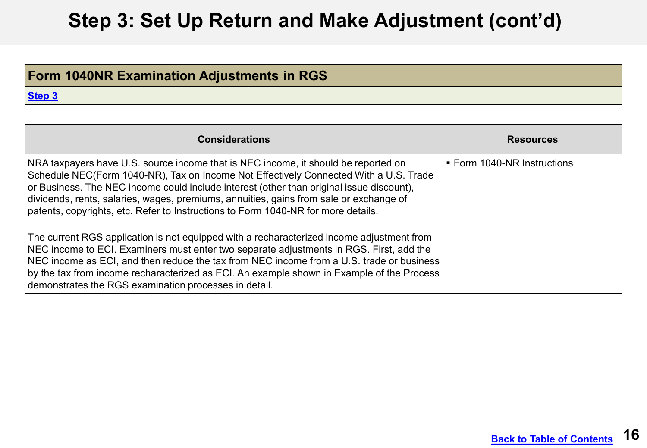### **Form 1040NR Examination Adjustments in RGS**

| <b>Considerations</b>                                                                                                                                                                                                                                                                                                                                                                                                                                  | <b>Resources</b>                |
|--------------------------------------------------------------------------------------------------------------------------------------------------------------------------------------------------------------------------------------------------------------------------------------------------------------------------------------------------------------------------------------------------------------------------------------------------------|---------------------------------|
| NRA taxpayers have U.S. source income that is NEC income, it should be reported on<br>Schedule NEC(Form 1040-NR), Tax on Income Not Effectively Connected With a U.S. Trade<br>or Business. The NEC income could include interest (other than original issue discount),<br>dividends, rents, salaries, wages, premiums, annuities, gains from sale or exchange of<br>patents, copyrights, etc. Refer to Instructions to Form 1040-NR for more details. | l ■ Form 1040-NR Instructions ■ |
| The current RGS application is not equipped with a recharacterized income adjustment from<br>NEC income to ECI. Examiners must enter two separate adjustments in RGS. First, add the<br>NEC income as ECI, and then reduce the tax from NEC income from a U.S. trade or business<br>by the tax from income recharacterized as ECI. An example shown in Example of the Process<br>demonstrates the RGS examination processes in detail.                 |                                 |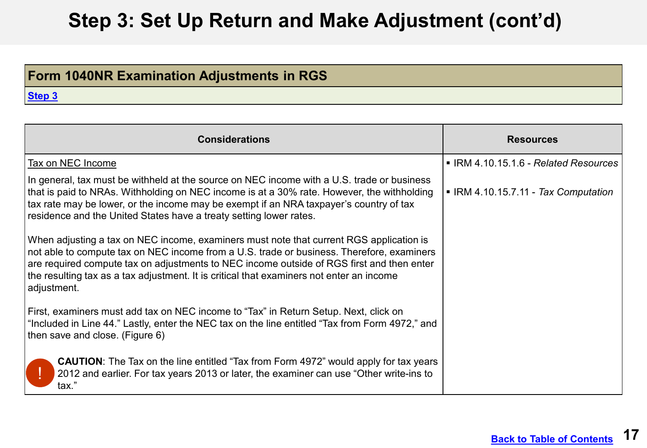### **Form 1040NR Examination Adjustments in RGS**

| <b>Considerations</b>                                                                                                                                                                                                                                                                                                                                                                        | <b>Resources</b>                      |
|----------------------------------------------------------------------------------------------------------------------------------------------------------------------------------------------------------------------------------------------------------------------------------------------------------------------------------------------------------------------------------------------|---------------------------------------|
| Tax on NEC Income                                                                                                                                                                                                                                                                                                                                                                            | ■ IRM 4.10.15.1.6 - Related Resources |
| In general, tax must be withheld at the source on NEC income with a U.S. trade or business<br>that is paid to NRAs. Withholding on NEC income is at a 30% rate. However, the withholding<br>tax rate may be lower, or the income may be exempt if an NRA taxpayer's country of tax<br>residence and the United States have a treaty setting lower rates.                                     | • IRM 4.10.15.7.11 - Tax Computation  |
| When adjusting a tax on NEC income, examiners must note that current RGS application is<br>not able to compute tax on NEC income from a U.S. trade or business. Therefore, examiners<br>are required compute tax on adjustments to NEC income outside of RGS first and then enter<br>the resulting tax as a tax adjustment. It is critical that examiners not enter an income<br>adjustment. |                                       |
| First, examiners must add tax on NEC income to "Tax" in Return Setup. Next, click on<br>I "Included in Line 44." Lastly, enter the NEC tax on the line entitled "Tax from Form 4972," and<br>then save and close. (Figure 6)                                                                                                                                                                 |                                       |
| <b>CAUTION:</b> The Tax on the line entitled "Tax from Form 4972" would apply for tax years<br>2012 and earlier. For tax years 2013 or later, the examiner can use "Other write-ins to<br>tax."                                                                                                                                                                                              |                                       |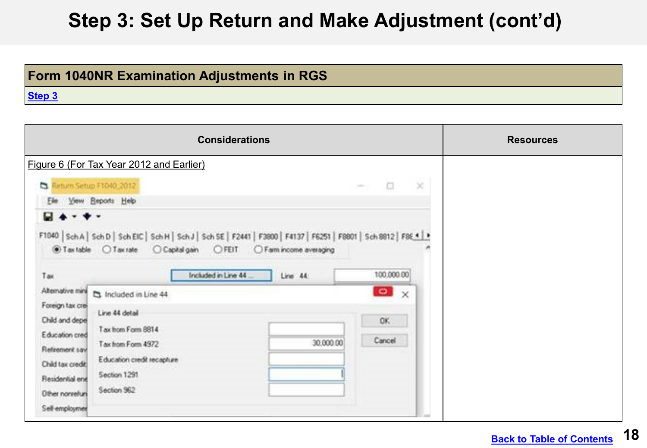### **Form 1040NR Examination Adjustments in RGS**

| <b>Considerations</b>                                                                                                                                                                                                                                                                                                                                                                                                                                                                                                                                                                                                                                                                                                                            | <b>Resources</b> |
|--------------------------------------------------------------------------------------------------------------------------------------------------------------------------------------------------------------------------------------------------------------------------------------------------------------------------------------------------------------------------------------------------------------------------------------------------------------------------------------------------------------------------------------------------------------------------------------------------------------------------------------------------------------------------------------------------------------------------------------------------|------------------|
| Figure 6 (For Tax Year 2012 and Earlier)<br>$\Box$<br>C Finlam Setup F1040 2012<br>$\mathbb{R}^l$<br><b>CONTROL</b><br>Elle View Beports Help<br>$9 + 1 + 1$<br>F1040 SchA SchD   SchEIC   SchH   SchJ   SchSE   F2441   F3800   F4137   F6251   F8801   Sch8812   F8E4   P<br>@Taxtable OTaxiste OCapital.pain OFEIT OFamincome averaging<br>100,000.00<br>Included in Line 44.<br>Line (44)<br>Tax<br>$\circ$<br>Alternative mini<br>$\overline{\times}$<br>h Included in Line 44<br>Foreign tax cre-<br>Line 44 detail<br>Child and depe-<br>OK.<br>Tax from Form 8814<br>Education cred<br>Cancel<br>30,000.00<br>Tax from Form 4372<br>Retirement says<br>Education credit recapture<br>Child tax credit<br>Section 1291<br>Residential end |                  |
| Section 962<br>Other nonrefun<br>Self-employmen                                                                                                                                                                                                                                                                                                                                                                                                                                                                                                                                                                                                                                                                                                  |                  |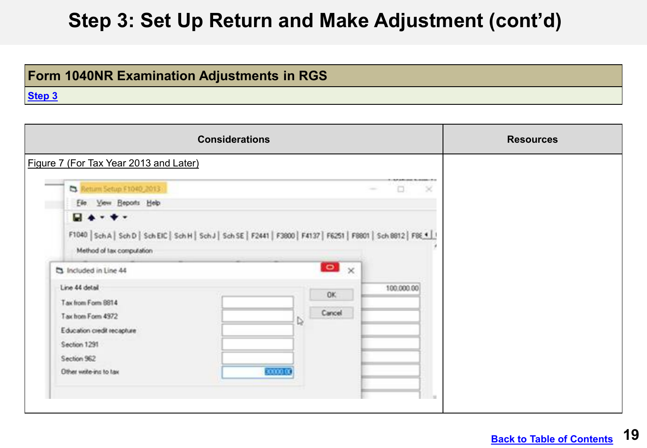### **Form 1040NR Examination Adjustments in RGS**

| <b>Considerations</b>                                                                                                                                                                            | <b>Resources</b> |
|--------------------------------------------------------------------------------------------------------------------------------------------------------------------------------------------------|------------------|
| Figure 7 (For Tax Year 2013 and Later)<br>the first that the company of the company of the                                                                                                       |                  |
| C. Return Setup F1040_2013<br>×<br>Ele Yew Bepots Help                                                                                                                                           |                  |
| $- + + +$<br>F1040   SchA   SchD   SchEIC   SchH   SchJ   SchSE   F2441   F3800   F4137   F6251   F8801   Sch8812   F86.4   I<br>Method of fax computation<br>$\bullet$<br>h Included in Line 44 |                  |
| Line 44 detail<br>100,000.00<br>OK.<br>Tax from Forn 9814<br>Cancel<br>Tax hom Form 4372<br>b,<br>Education credit recopture<br>Section 1291<br>Section 962                                      |                  |
| 3000000<br>Other write-ins to tax                                                                                                                                                                |                  |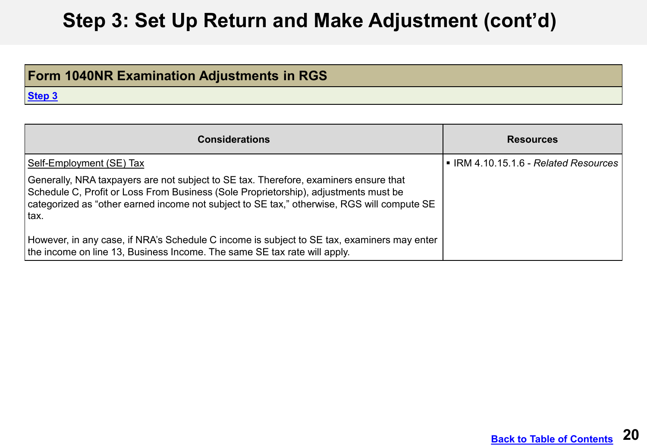### **Form 1040NR Examination Adjustments in RGS**

| <b>Considerations</b>                                                                                                                                                                                                                                                               | <b>Resources</b>                      |
|-------------------------------------------------------------------------------------------------------------------------------------------------------------------------------------------------------------------------------------------------------------------------------------|---------------------------------------|
| Self-Employment (SE) Tax                                                                                                                                                                                                                                                            | ■ IRM 4.10.15.1.6 - Related Resources |
| Generally, NRA taxpayers are not subject to SE tax. Therefore, examiners ensure that<br>Schedule C, Profit or Loss From Business (Sole Proprietorship), adjustments must be<br>categorized as "other earned income not subject to SE tax," otherwise, RGS will compute SE<br>l tax. |                                       |
| However, in any case, if NRA's Schedule C income is subject to SE tax, examiners may enter<br>the income on line 13, Business Income. The same SE tax rate will apply.                                                                                                              |                                       |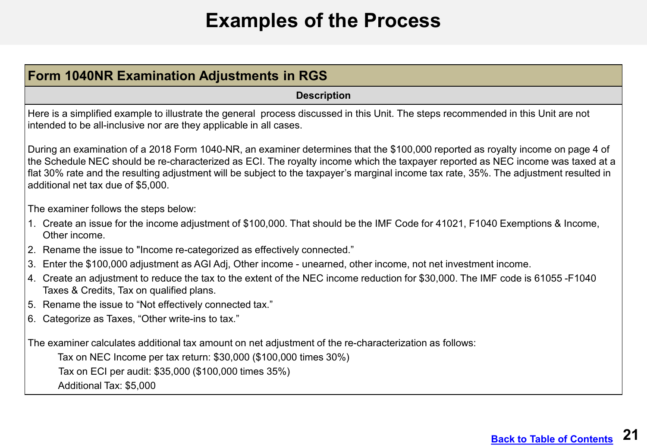# **Examples of the Process**

<span id="page-20-0"></span>

| <b>Form 1040NR Examination Adjustments in RGS</b>                                                                                                                                                                                                                                                                                                                                                                                                  |  |  |
|----------------------------------------------------------------------------------------------------------------------------------------------------------------------------------------------------------------------------------------------------------------------------------------------------------------------------------------------------------------------------------------------------------------------------------------------------|--|--|
| <b>Description</b>                                                                                                                                                                                                                                                                                                                                                                                                                                 |  |  |
| Here is a simplified example to illustrate the general process discussed in this Unit. The steps recommended in this Unit are not<br>intended to be all-inclusive nor are they applicable in all cases.                                                                                                                                                                                                                                            |  |  |
| During an examination of a 2018 Form 1040-NR, an examiner determines that the \$100,000 reported as royalty income on page 4 of<br>the Schedule NEC should be re-characterized as ECI. The royalty income which the taxpayer reported as NEC income was taxed at a<br>flat 30% rate and the resulting adjustment will be subject to the taxpayer's marginal income tax rate, 35%. The adjustment resulted in<br>additional net tax due of \$5,000. |  |  |
| The examiner follows the steps below:                                                                                                                                                                                                                                                                                                                                                                                                              |  |  |
| 1. Create an issue for the income adjustment of \$100,000. That should be the IMF Code for 41021, F1040 Exemptions & Income,<br>Other income.                                                                                                                                                                                                                                                                                                      |  |  |
| 2. Rename the issue to "Income re-categorized as effectively connected."                                                                                                                                                                                                                                                                                                                                                                           |  |  |
| 3. Enter the \$100,000 adjustment as AGI Adj, Other income - unearned, other income, not net investment income.                                                                                                                                                                                                                                                                                                                                    |  |  |
| 4. Create an adjustment to reduce the tax to the extent of the NEC income reduction for \$30,000. The IMF code is 61055-F1040<br>Taxes & Credits, Tax on qualified plans.                                                                                                                                                                                                                                                                          |  |  |
| 5. Rename the issue to "Not effectively connected tax."                                                                                                                                                                                                                                                                                                                                                                                            |  |  |
| 6. Categorize as Taxes, "Other write-ins to tax."                                                                                                                                                                                                                                                                                                                                                                                                  |  |  |
| The examiner calculates additional tax amount on net adjustment of the re-characterization as follows:                                                                                                                                                                                                                                                                                                                                             |  |  |
| Tax on NEC Income per tax return: \$30,000 (\$100,000 times 30%)                                                                                                                                                                                                                                                                                                                                                                                   |  |  |
| Tax on ECI per audit: \$35,000 (\$100,000 times 35%)                                                                                                                                                                                                                                                                                                                                                                                               |  |  |
| Additional Tax: \$5,000                                                                                                                                                                                                                                                                                                                                                                                                                            |  |  |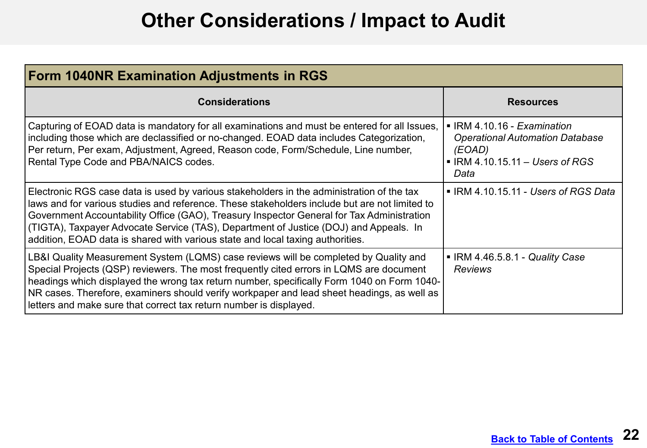# **Other Considerations / Impact to Audit**

<span id="page-21-0"></span>

| <b>Form 1040NR Examination Adjustments in RGS</b>                                                                                                                                                                                                                                                                                                                                                                                                                  |                                                                                                                                         |  |
|--------------------------------------------------------------------------------------------------------------------------------------------------------------------------------------------------------------------------------------------------------------------------------------------------------------------------------------------------------------------------------------------------------------------------------------------------------------------|-----------------------------------------------------------------------------------------------------------------------------------------|--|
| <b>Considerations</b>                                                                                                                                                                                                                                                                                                                                                                                                                                              | <b>Resources</b>                                                                                                                        |  |
| Capturing of EOAD data is mandatory for all examinations and must be entered for all Issues,<br>including those which are declassified or no-changed. EOAD data includes Categorization,<br>Per return, Per exam, Adjustment, Agreed, Reason code, Form/Schedule, Line number,<br>Rental Type Code and PBA/NAICS codes.                                                                                                                                            | • IRM 4.10.16 - Examination<br><b>Operational Automation Database</b><br>(EOAD)<br>$\blacksquare$ IRM 4.10.15.11 – Users of RGS<br>Data |  |
| Electronic RGS case data is used by various stakeholders in the administration of the tax<br>laws and for various studies and reference. These stakeholders include but are not limited to<br>Government Accountability Office (GAO), Treasury Inspector General for Tax Administration<br>(TIGTA), Taxpayer Advocate Service (TAS), Department of Justice (DOJ) and Appeals. In<br>addition, EOAD data is shared with various state and local taxing authorities. | • IRM 4.10.15.11 - Users of RGS Data                                                                                                    |  |
| LB&I Quality Measurement System (LQMS) case reviews will be completed by Quality and<br>Special Projects (QSP) reviewers. The most frequently cited errors in LQMS are document<br>headings which displayed the wrong tax return number, specifically Form 1040 on Form 1040-<br>NR cases. Therefore, examiners should verify workpaper and lead sheet headings, as well as<br>letters and make sure that correct tax return number is displayed.                  | • IRM 4.46.5.8.1 - Quality Case<br><b>Reviews</b>                                                                                       |  |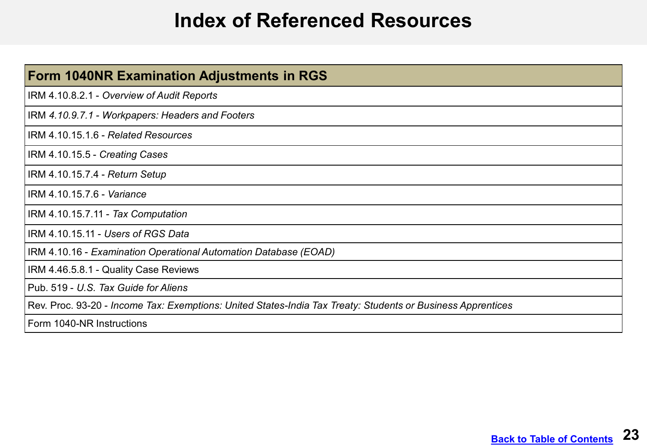### **Index of Referenced Resources**

<span id="page-22-0"></span>

| <b>Form 1040NR Examination Adjustments in RGS</b>                                                           |
|-------------------------------------------------------------------------------------------------------------|
| IRM 4.10.8.2.1 - Overview of Audit Reports                                                                  |
| IRM 4.10.9.7.1 - Workpapers: Headers and Footers                                                            |
| IRM 4.10.15.1.6 - Related Resources                                                                         |
| IRM 4.10.15.5 - Creating Cases                                                                              |
| IRM 4.10.15.7.4 - Return Setup                                                                              |
| IRM 4.10.15.7.6 - Variance                                                                                  |
| IRM 4.10.15.7.11 - Tax Computation                                                                          |
| IRM 4.10.15.11 - Users of RGS Data                                                                          |
| IRM 4.10.16 - Examination Operational Automation Database (EOAD)                                            |
| IRM 4.46.5.8.1 - Quality Case Reviews                                                                       |
| Pub. 519 - U.S. Tax Guide for Aliens                                                                        |
| Rev. Proc. 93-20 - Income Tax: Exemptions: United States-India Tax Treaty: Students or Business Apprentices |
| Form 1040-NR Instructions                                                                                   |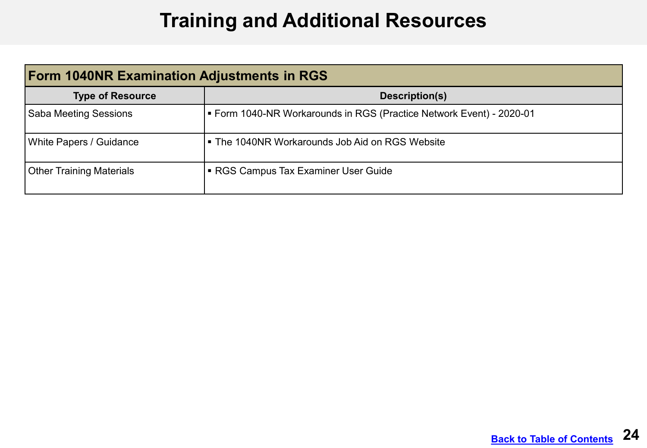# **Training and Additional Resources**

<span id="page-23-0"></span>

| <b>Form 1040NR Examination Adjustments in RGS</b> |                                                                      |  |
|---------------------------------------------------|----------------------------------------------------------------------|--|
| <b>Type of Resource</b>                           | Description(s)                                                       |  |
| <b>Saba Meeting Sessions</b>                      | ■ Form 1040-NR Workarounds in RGS (Practice Network Event) - 2020-01 |  |
| White Papers / Guidance                           | • The 1040NR Workarounds Job Aid on RGS Website                      |  |
| <b>Other Training Materials</b>                   | ■ RGS Campus Tax Examiner User Guide                                 |  |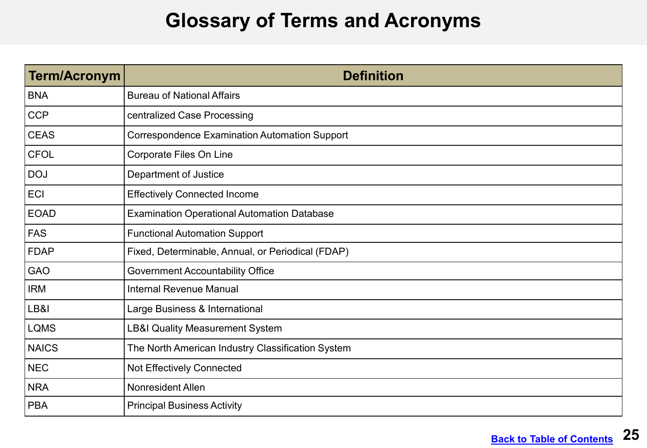### **Glossary of Terms and Acronyms**

<span id="page-24-0"></span>

| <b>Term/Acronym</b> | <b>Definition</b>                                    |
|---------------------|------------------------------------------------------|
| <b>BNA</b>          | <b>Bureau of National Affairs</b>                    |
| <b>CCP</b>          | centralized Case Processing                          |
| <b>CEAS</b>         | <b>Correspondence Examination Automation Support</b> |
| <b>CFOL</b>         | Corporate Files On Line                              |
| <b>DOJ</b>          | Department of Justice                                |
| <b>ECI</b>          | <b>Effectively Connected Income</b>                  |
| <b>EOAD</b>         | <b>Examination Operational Automation Database</b>   |
| <b>FAS</b>          | <b>Functional Automation Support</b>                 |
| <b>FDAP</b>         | Fixed, Determinable, Annual, or Periodical (FDAP)    |
| <b>GAO</b>          | <b>Government Accountability Office</b>              |
| <b>IRM</b>          | <b>Internal Revenue Manual</b>                       |
| LB&I                | Large Business & International                       |
| <b>LQMS</b>         | <b>LB&amp;I Quality Measurement System</b>           |
| <b>NAICS</b>        | The North American Industry Classification System    |
| <b>NEC</b>          | <b>Not Effectively Connected</b>                     |
| <b>NRA</b>          | <b>Nonresident Allen</b>                             |
| <b>PBA</b>          | <b>Principal Business Activity</b>                   |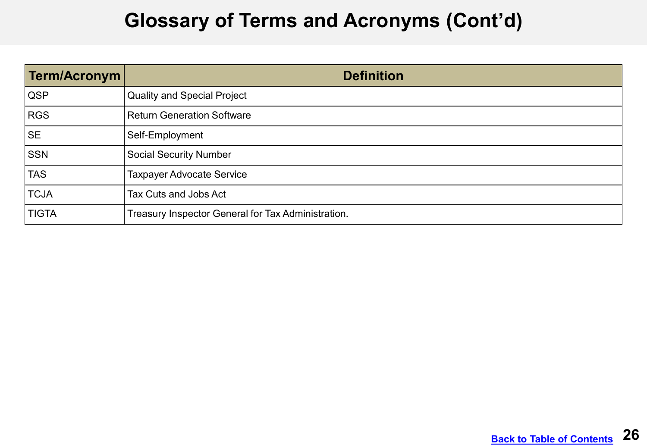## **Glossary of Terms and Acronyms (Cont'd)**

| Term/Acronym | <b>Definition</b>                                  |
|--------------|----------------------------------------------------|
| <b>QSP</b>   | <b>Quality and Special Project</b>                 |
| RGS          | <b>Return Generation Software</b>                  |
| SE           | Self-Employment                                    |
| <b>SSN</b>   | <b>Social Security Number</b>                      |
| <b>TAS</b>   | Taxpayer Advocate Service                          |
| <b>TCJA</b>  | Tax Cuts and Jobs Act                              |
| <b>TIGTA</b> | Treasury Inspector General for Tax Administration. |